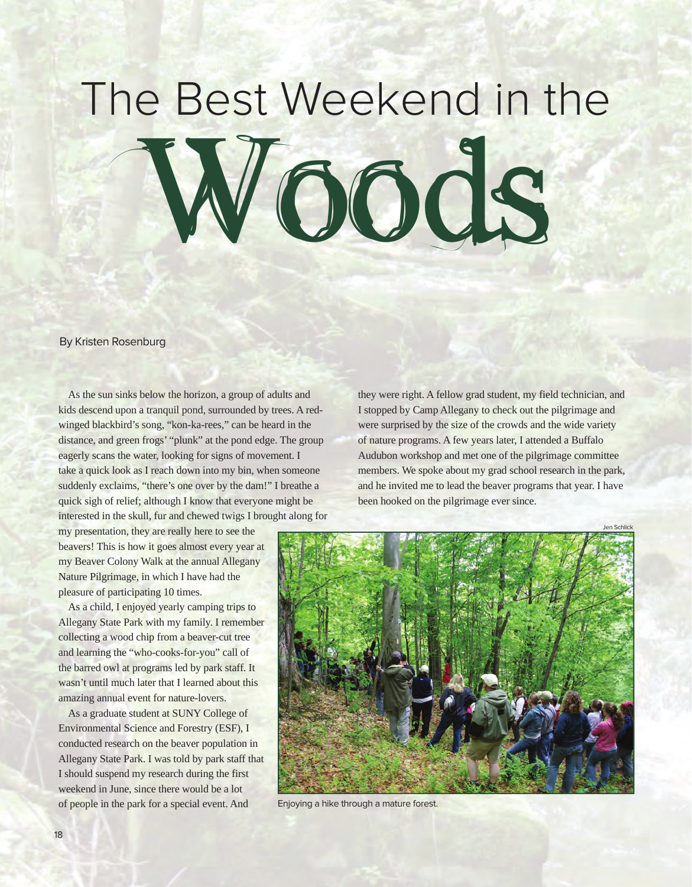## The Best Weekend in the Woods

By Kristen Rosenburg

As the sun sinks below the horizon, a group of adults and kids descend upon a tranquil pond, surrounded by trees. A redwinged blackbird's song, "kon-ka-rees," can be heard in the distance, and green frogs' "plunk" at the pond edge. The group eagerly scans the water, looking for signs of movement. I take a quick look as I reach down into my bin, when someone suddenly exclaims, "there's one over by the dam!" I breathe a quick sigh of relief; although I know that everyone might be interested in the skull, fur and chewed twigs I brought along for

they were right. A fellow grad student, my field technician, and I stopped by Camp Allegany to check out the pilgrimage and were surprised by the size of the crowds and the wide variety of nature programs. A few years later, I attended a Buffalo Audubon workshop and met one of the pilgrimage committee members. We spoke about my grad school research in the park, and he invited me to lead the beaver programs that year. I have been hooked on the pilgrimage ever since.

my presentation, they are really here to see the beavers! This is how it goes almost every year at my Beaver Colony Walk at the annual Allegany Nature Pilgrimage, in which I have had the pleasure of participating 10 times.

As a child, I enjoyed yearly camping trips to Allegany State Park with my family. I remember collecting a wood chip from a beaver-cut tree and learning the "who-cooks-for-you" call of the barred owl at programs led by park staff. It wasn't until much later that I learned about this amazing annual event for nature-lovers.

As a graduate student at SUNY College of Environmental Science and Forestry (ESF), I conducted research on the beaver population in Allegany State Park. I was told by park staff that I should suspend my research during the first weekend in June, since there would be a lot of people in the park for a special event. And



Enjoying a hike through a mature forest.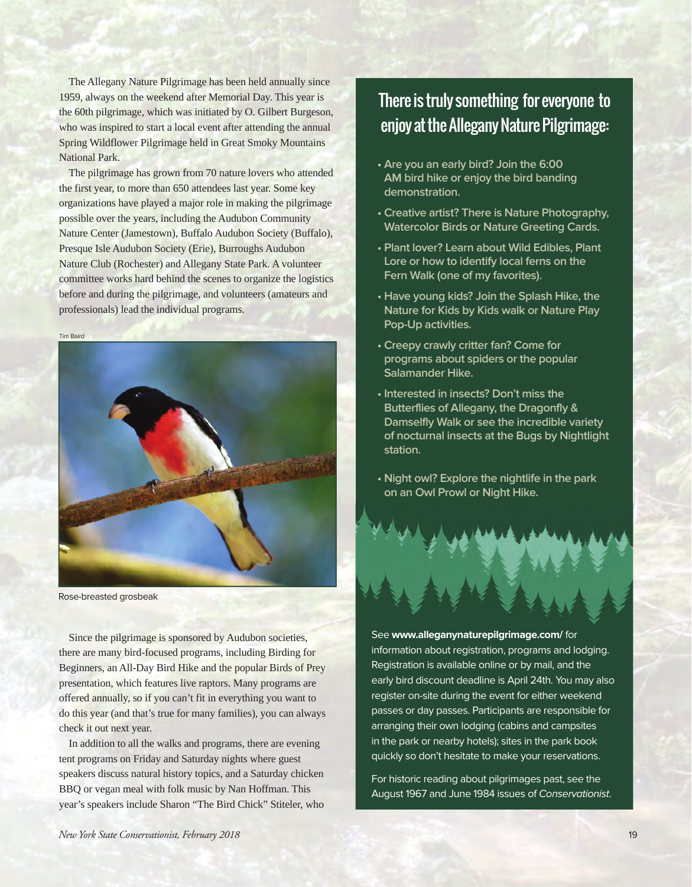The Allegany Nature Pilgrimage has been held annually since 1959, always on the weekend after Memorial Day. This year is the 60th pilgrimage, which was initiated by O. Gilbert Burgeson, who was inspired to start a local event after attending the annual Spring Wildflower Pilgrimage held in Great Smoky Mountains National Park.

The pilgrimage has grown from 70 nature lovers who attended the first year, to more than 650 attendees last year. Some key organizations have played a major role in making the pilgrimage possible over the years, including the Audubon Community Nature Center (Jamestown), Buffalo Audubon Society (Buffalo), Presque Isle Audubon Society (Erie), Burroughs Audubon Nature Club (Rochester) and Allegany State Park. A volunteer committee works hard behind the scenes to organize the logistics before and during the pilgrimage, and volunteers (amateurs and professionals) lead the individual programs.

Tim Baird



Rose-breasted grosbeak

Since the pilgrimage is sponsored by Audubon societies, there are many bird-focused programs, including Birding for Beginners, an All-Day Bird Hike and the popular Birds of Prey presentation, which features live raptors. Many programs are offered annually, so if you can't fit in everything you want to do this year (and that's true for many families), you can always check it out next year.

In addition to all the walks and programs, there are evening tent programs on Friday and Saturday nights where guest speakers discuss natural history topics, and a Saturday chicken BBQ or vegan meal with folk music by Nan Hoffman. This year's speakers include Sharon "The Bird Chick" Stiteler, who

## There is truly something for everyone to enjoy at the Allegany Nature Pilgrimage:

- **Are you an early bird? Join the 6:00 AM bird hike or enjoy the bird banding demonstration.**
- **Creative artist? There is Nature Photography, Watercolor Birds or Nature Greeting Cards.**
- **Plant lover? Learn about Wild Edibles, Plant Lore or how to identify local ferns on the Fern Walk (one of my favorites).**
- **Have young kids? Join the Splash Hike, the Nature for Kids by Kids walk or Nature Play Pop-Up activities.**
- **Creepy crawly critter fan? Come for programs about spiders or the popular Salamander Hike.**
- **Interested in insects? Don't miss the Butterflies of Allegany, the Dragonfly & Damselfly Walk or see the incredible variety of nocturnal insects at the Bugs by Nightlight station.**
- **Night owl? Explore the nightlife in the park on an Owl Prowl or Night Hike.**

See **www.alleganynaturepilgrimage.com/** for information about registration, programs and lodging. Registration is available online or by mail, and the early bird discount deadline is April 24th. You may also register on-site during the event for either weekend passes or day passes. Participants are responsible for arranging their own lodging (cabins and campsites in the park or nearby hotels); sites in the park book quickly so don't hesitate to make your reservations.

For historic reading about pilgrimages past, see the August 1967 and June 1984 issues of Conservationist.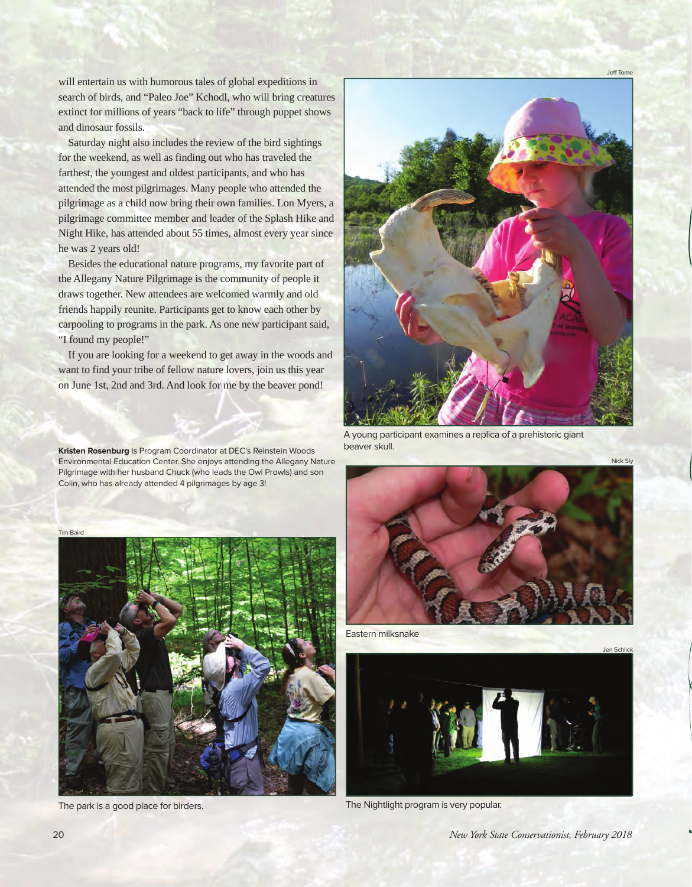will entertain us with humorous tales of global expeditions in search of birds, and "Paleo Joe" Kchodl, who will bring creatures extinct for millions of years "back to life" through puppet shows and dinosaur fossils.

Saturday night also includes the review of the bird sightings for the weekend, as well as finding out who has traveled the farthest, the youngest and oldest participants, and who has attended the most pilgrimages. Many people who attended the pilgrimage as a child now bring their own families. Lon Myers, a pilgrimage committee member and leader of the Splash Hike and Night Hike, has attended about 55 times, almost every year since he was 2 years old!

Besides the educational nature programs, my favorite part of the Allegany Nature Pilgrimage is the community of people it draws together. New attendees are welcomed warmly and old friends happily reunite. Participants get to know each other by carpooling to programs in the park. As one new participant said, "I found my people!"

If you are looking for a weekend to get away in the woods and want to find your tribe of fellow nature lovers, join us this year on June 1st, 2nd and 3rd. And look for me by the beaver pond!

**Kristen Rosenburg** is Program Coordinator at DEC's Reinstein Woods Environmental Education Center. She enjoys attending the Allegany Nature Pilgrimage with her husband Chuck (who leads the Owl Prowls) and son Colin, who has already attended 4 pilgrimages by age 3!



Jeff Tome

Nick Sly

A young participant examines a replica of a prehistoric giant beaver skull.

Tim Baird





Eastern milksnake



The park is a good place for birders. The Nightlight program is very popular.